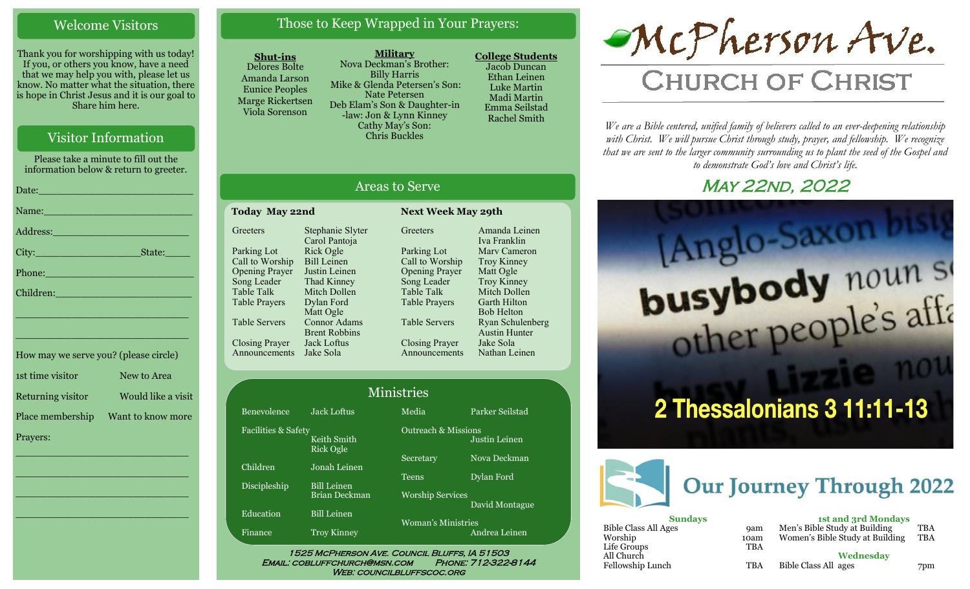#### Welcome Visitors

Thank you for worshipping with us today! If you, or others you know, have a need that we may help you with, please let us know. No matter what the situation, there is hope in Christ Jesus and it is our goal to Share him here.

#### Visitor Information

Please take a minute to fill out the information below & return to greeter.

| Date: <u>Date: Alexander State (1999</u> )                                                                                                                                                                                     |
|--------------------------------------------------------------------------------------------------------------------------------------------------------------------------------------------------------------------------------|
| Name: Name and the second contract of the second contract of the second contract of the second contract of the                                                                                                                 |
| Address: 2008 and 2008 and 2008 and 2008 and 2008 and 2008 and 2008 and 2008 and 2008 and 2008 and 2008 and 20                                                                                                                 |
|                                                                                                                                                                                                                                |
| Phone: New York Changes and Changes and Changes and Changes and Changes and Changes and Changes and Changes and Changes and Changes and Changes and Changes and Changes and Changes and Changes and Changes and Changes and Ch |
| Children: New York Children                                                                                                                                                                                                    |
| <u> 1999 - Johann Barn, mars eta bainar eta bainar eta baina eta baina eta baina eta baina eta baina eta baina e</u>                                                                                                           |
|                                                                                                                                                                                                                                |

| How may we serve you? (please circle) |                    |
|---------------------------------------|--------------------|
| 1st time visitor                      | New to Area        |
| Returning visitor                     | Would like a visit |
| Place membership                      | Want to know more  |
| Prayers:                              |                    |

\_\_\_\_\_\_\_\_\_\_\_\_\_\_\_\_\_\_\_\_\_\_\_\_\_\_\_\_

 $\overline{\phantom{a}}$  , and the set of the set of the set of the set of the set of the set of the set of the set of the set of the set of the set of the set of the set of the set of the set of the set of the set of the set of the s

 $\overline{\phantom{a}}$  , and the set of the set of the set of the set of the set of the set of the set of the set of the set of the set of the set of the set of the set of the set of the set of the set of the set of the set of the s

\_\_\_\_\_\_\_\_\_\_\_\_\_\_\_\_\_\_\_\_\_\_\_\_\_\_\_\_

\_\_\_\_\_\_\_\_\_\_\_\_\_\_\_\_\_\_\_\_\_\_\_\_\_\_\_\_

#### Those to Keep Wrapped in Your Prayers:

#### **Shut-ins**

Table Talk Table Prayers Table Servers

Closing Prayer

Announcements Jake Sola

Delores Bolte Amanda Larson Eunice Peoples Marge Rickertsen Viola Sorenson

**Military** Nova Deckman's Brother: Billy Harris Mike & Glenda Petersen's Son: Nate Petersen Deb Elam's Son & Daughter-in -law: Jon & Lynn Kinney Cathy May's Son: Chris Buckles

**College Students**  Jacob Duncan Ethan Leinen Luke Martin Madi Martin Emma Seilstad Rachel Smith

# McPherson Ave.

# **CHURCH OF CHRIST**

*We are a Bible centered, unified family of believers called to an ever-deepening relationship*  with Christ. We will pursue Christ through study, prayer, and fellowship. We recognize *that we are sent to the larger community surrounding us to plant the seed of the Gospel and to demonstrate God's love and Christ's life.*

## **MAY 22ND, 2022**





| <b>Sundays</b>       |            | <b>1st and 3rd Mondays</b>      |     |
|----------------------|------------|---------------------------------|-----|
| Bible Class All Ages | <b>9am</b> | Men's Bible Study at Building   | TBA |
| Worship              | 10am       | Women's Bible Study at Building | TBA |
| Life Groups          | <b>TBA</b> |                                 |     |
| All Church           |            | Wednesdav                       |     |
| Fellowship Lunch     | <b>TBA</b> | Bible Class All ages            | 7pm |

| <b>Areas to Serve</b> |                                   |                           |                  |  |  |
|-----------------------|-----------------------------------|---------------------------|------------------|--|--|
| <b>Today May 22nd</b> |                                   | <b>Next Week May 29th</b> |                  |  |  |
| Greeters              | Stephanie Slyter<br>Carol Pantoja | Greeters                  | Amano<br>Iva Fra |  |  |
| Parking Lot           | Rick Ogle                         | Parking Lot               | Mary $\theta$    |  |  |
| Call to Worship       | <b>Bill Leinen</b>                | Call to Worship           | Troy K           |  |  |
| <b>Opening Prayer</b> | Justin Leinen                     | <b>Opening Prayer</b>     | Matt C           |  |  |
| Song Leader           | Thad Kinney                       | Song Leader               | Troy K           |  |  |

Mitch Dollen Dylan Ford Matt Ogle Connor Adams Brent Robbins Jack Loftus

# **Greeters** Amanda Leinen

Parking Lot Call to Worship Opening Prayer Song Leader Table Talk Table Prayers Table Servers Closing Prayer Announcements Iva Franklin Marv Cameron Troy Kinney Matt Ogle Troy Kinney Mitch Dollen Garth Hilton Bob Helton Ryan Schulenberg Austin Hunter Jake Sola Nathan Leinen

#### Benevolence Jack Loftus Media Parker Seilstad Ministries

Facilities & Safety Keith Smith Rick Ogle Children Jonah Leinen

Education Bill Leinen

Finance Troy Kinney

Discipleship Bill Leinen Brian Deckman

Outreach & Missions Secretary Nova Deckman

Teens Dylan Ford

Worship Services David Montague

Justin Leinen

Woman's Ministries Andrea Leinen

1525 McPherson Ave. Council Bluffs, IA 51503 Email: cobluffchurch@msn.com Phone: 712-322-8144 WEB: COUNCILBLUFFSCOC.ORG